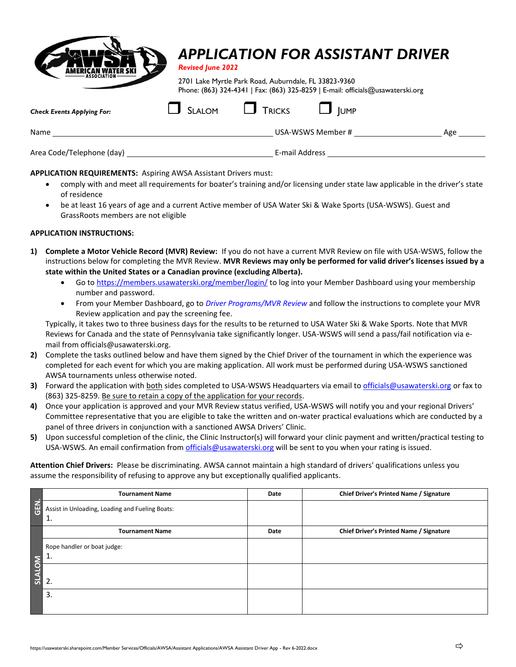

## *APPLICATION FOR ASSISTANT DRIVER*

*Revised June 2022*

2701 Lake Myrtle Park Road, Auburndale, FL 33823-9360 Phone: (863) 324-4341 | Fax: (863) 325-8259 | E-mail: officials@usawaterski.org

| <b>Check Events Applying For:</b> | <b>SLALOM</b> | $\Box$ Tricks  | <b>JUMP</b>       |     |
|-----------------------------------|---------------|----------------|-------------------|-----|
| Name                              |               |                | USA-WSWS Member # | Age |
| Area Code/Telephone (day)         |               | E-mail Address |                   |     |

### **APPLICATION REQUIREMENTS:** Aspiring AWSA Assistant Drivers must:

- comply with and meet all requirements for boater's training and/or licensing under state law applicable in the driver's state of residence
- be at least 16 years of age and a current Active member of USA Water Ski & Wake Sports (USA-WSWS). Guest and GrassRoots members are not eligible

### **APPLICATION INSTRUCTIONS:**

- **1) Complete a Motor Vehicle Record (MVR) Review:** If you do not have a current MVR Review on file with USA-WSWS, follow the instructions below for completing the MVR Review. **MVR Reviews may only be performed for valid driver's licenses issued by a state within the United States or a Canadian province (excluding Alberta).**
	- Go t[o https://members.usawaterski.org/member/login/](https://members.usawaterski.org/member/login/) to log into your Member Dashboard using your membership number and password.
	- From your Member Dashboard, go to *Driver Programs/MVR Review* and follow the instructions to complete your MVR Review application and pay the screening fee.

Typically, it takes two to three business days for the results to be returned to USA Water Ski & Wake Sports. Note that MVR Reviews for Canada and the state of Pennsylvania take significantly longer. USA-WSWS will send a pass/fail notification via email from officials@usawaterski.org.

- **2)** Complete the tasks outlined below and have them signed by the Chief Driver of the tournament in which the experience was completed for each event for which you are making application. All work must be performed during USA-WSWS sanctioned AWSA tournaments unless otherwise noted.
- **3)** Forward the application with both sides completed to USA-WSWS Headquarters via email to [officials@usawaterski.org](mailto:officials@usawaterski.org) or fax to (863) 325-8259. Be sure to retain a copy of the application for your records.
- **4)** Once your application is approved and your MVR Review status verified, USA-WSWS will notify you and your regional Drivers' Committee representative that you are eligible to take the written and on-water practical evaluations which are conducted by a panel of three drivers in conjunction with a sanctioned AWSA Drivers' Clinic.
- **5)** Upon successful completion of the clinic, the Clinic Instructor(s) will forward your clinic payment and written/practical testing to USA-WSWS. An email confirmation from [officials@usawaterski.org](mailto:officials@usawaterski.org) will be sent to you when your rating is issued.

**Attention Chief Drivers:** Please be discriminating. AWSA cannot maintain a high standard of drivers' qualifications unless you assume the responsibility of refusing to approve any but exceptionally qualified applicants.

|               | <b>Tournament Name</b>                                 | Date | Chief Driver's Printed Name / Signature |
|---------------|--------------------------------------------------------|------|-----------------------------------------|
| GEN.          | Assist in Unloading, Loading and Fueling Boats:<br>-1. |      |                                         |
|               | <b>Tournament Name</b>                                 | Date | Chief Driver's Printed Name / Signature |
|               | Rope handler or boat judge:<br>1.                      |      |                                         |
| <b>SLALOM</b> | 2.                                                     |      |                                         |
|               | 3.                                                     |      |                                         |